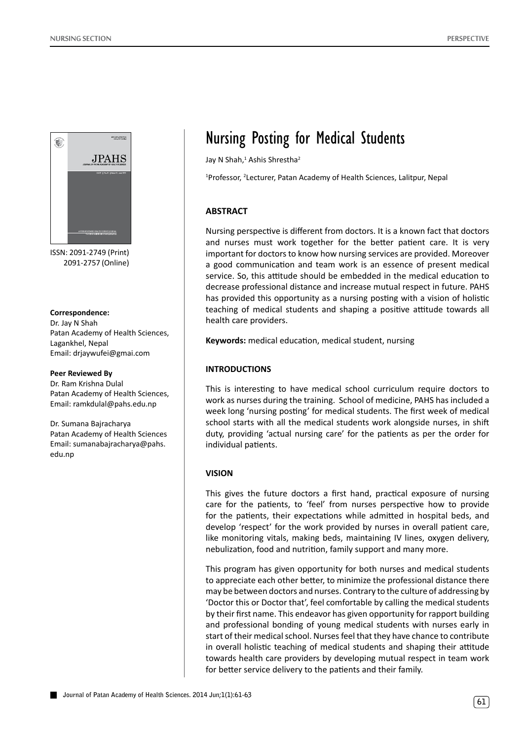

ISSN: 2091-2749 (Print) 2091-2757 (Online)

## **Correspondence:**

Dr. Jay N Shah Patan Academy of Health Sciences, Lagankhel, Nepal Email: drjaywufei@gmai.com

#### **Peer Reviewed By**

Dr. Ram Krishna Dulal Patan Academy of Health Sciences, Email: ramkdulal@pahs.edu.np

Dr. Sumana Bajracharya Patan Academy of Health Sciences Email: sumanabajracharya@pahs. edu.np

# Nursing Posting for Medical Students

Jay N Shah,<sup>1</sup> Ashis Shrestha<sup>2</sup>

 $J_{\rm N}$  Shah: Nursing  $\sim$  Nursing for  $M_{\rm N}$ 

<sup>1</sup>Professor, <sup>2</sup>Lecturer, Patan Academy of Health Sciences, Lalitpur, Nepal

## **ABSTRACT**

Nursing perspective is different from doctors. It is a known fact that doctors and nurses must work together for the better patient care. It is very important for doctors to know how nursing services are provided. Moreover a good communication and team work is an essence of present medical service. So, this attitude should be embedded in the medical education to decrease professional distance and increase mutual respect in future. PAHS has provided this opportunity as a nursing posting with a vision of holistic teaching of medical students and shaping a positive attitude towards all health care providers.

**Keywords:** medical education, medical student, nursing

## **INTRODUCTIONS**

This is interesting to have medical school curriculum require doctors to work as nurses during the training. School of medicine, PAHS has included a week long 'nursing posting' for medical students. The first week of medical school starts with all the medical students work alongside nurses, in shift duty, providing 'actual nursing care' for the patients as per the order for individual patients.

## **VISION**

This gives the future doctors a first hand, practical exposure of nursing care for the patients, to 'feel' from nurses perspective how to provide for the patients, their expectations while admitted in hospital beds, and develop 'respect' for the work provided by nurses in overall patient care, like monitoring vitals, making beds, maintaining IV lines, oxygen delivery, nebulization, food and nutrition, family support and many more.

This program has given opportunity for both nurses and medical students to appreciate each other better, to minimize the professional distance there may be between doctors and nurses. Contrary to the culture of addressing by 'Doctor this or Doctor that', feel comfortable by calling the medical students by their first name. This endeavor has given opportunity for rapport building and professional bonding of young medical students with nurses early in start of their medical school. Nurses feel that they have chance to contribute in overall holistic teaching of medical students and shaping their attitude towards health care providers by developing mutual respect in team work for better service delivery to the patients and their family.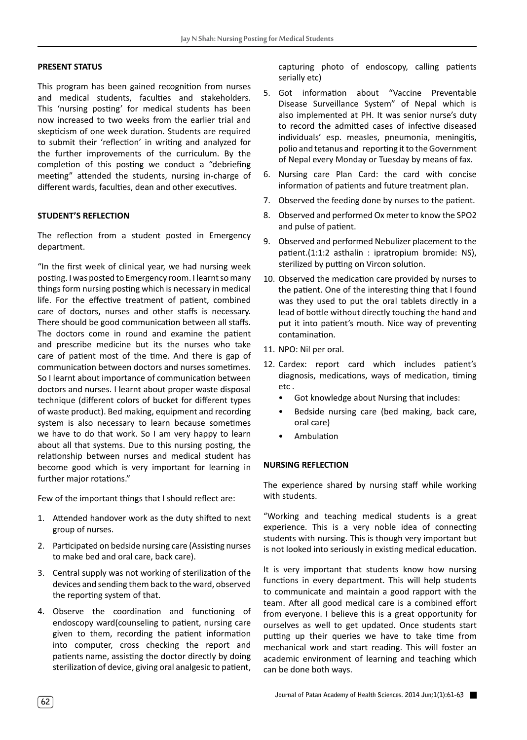## **PRESENT STATUS**

This program has been gained recognition from nurses and medical students, faculties and stakeholders. This 'nursing posting' for medical students has been now increased to two weeks from the earlier trial and skepticism of one week duration. Students are required to submit their 'reflection' in writing and analyzed for the further improvements of the curriculum. By the completion of this posting we conduct a "debriefing meeting" attended the students, nursing in-charge of different wards, faculties, dean and other executives.

## **STUDENT'S REFLECTION**

The reflection from a student posted in Emergency department.

"In the first week of clinical year, we had nursing week posting. I was posted to Emergency room. I learnt so many things form nursing posting which is necessary in medical life. For the effective treatment of patient, combined care of doctors, nurses and other staffs is necessary. There should be good communication between all staffs. The doctors come in round and examine the patient and prescribe medicine but its the nurses who take care of patient most of the time. And there is gap of communication between doctors and nurses sometimes. So I learnt about importance of communication between doctors and nurses. I learnt about proper waste disposal technique (different colors of bucket for different types of waste product). Bed making, equipment and recording system is also necessary to learn because sometimes we have to do that work. So I am very happy to learn about all that systems. Due to this nursing posting, the relationship between nurses and medical student has become good which is very important for learning in further major rotations."

Few of the important things that I should reflect are:

- 1. Attended handover work as the duty shifted to next group of nurses.
- 2. Participated on bedside nursing care (Assisting nurses to make bed and oral care, back care).
- 3. Central supply was not working of sterilization of the devices and sending them back to the ward, observed the reporting system of that.
- 4. Observe the coordination and functioning of endoscopy ward(counseling to patient, nursing care given to them, recording the patient information into computer, cross checking the report and patients name, assisting the doctor directly by doing sterilization of device, giving oral analgesic to patient,

capturing photo of endoscopy, calling patients serially etc)

- 5. Got information about "Vaccine Preventable Disease Surveillance System" of Nepal which is also implemented at PH. It was senior nurse's duty to record the admitted cases of infective diseased individuals' esp. measles, pneumonia, meningitis, polio and tetanus and reporting it to the Government of Nepal every Monday or Tuesday by means of fax.
- 6. Nursing care Plan Card: the card with concise information of patients and future treatment plan.
- 7. Observed the feeding done by nurses to the patient.
- 8. Observed and performed Ox meter to know the SPO2 and pulse of patient.
- 9. Observed and performed Nebulizer placement to the patient.(1:1:2 asthalin : ipratropium bromide: NS), sterilized by putting on Vircon solution.
- 10. Observed the medication care provided by nurses to the patient. One of the interesting thing that I found was they used to put the oral tablets directly in a lead of bottle without directly touching the hand and put it into patient's mouth. Nice way of preventing contamination.
- 11. NPO: Nil per oral.
- 12. Cardex: report card which includes patient's diagnosis, medications, ways of medication, timing etc .
	- Got knowledge about Nursing that includes:
	- Bedside nursing care (bed making, back care, oral care)
	- Ambulation

## **NURSING REFLECTION**

The experience shared by nursing staff while working with students.

"Working and teaching medical students is a great experience. This is a very noble idea of connecting students with nursing. This is though very important but is not looked into seriously in existing medical education.

It is very important that students know how nursing functions in every department. This will help students to communicate and maintain a good rapport with the team. After all good medical care is a combined effort from everyone. I believe this is a great opportunity for ourselves as well to get updated. Once students start putting up their queries we have to take time from mechanical work and start reading. This will foster an academic environment of learning and teaching which can be done both ways.